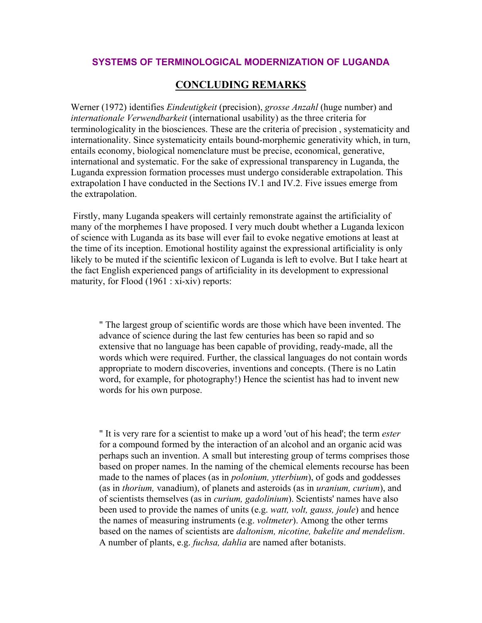## **SYSTEMS OF TERMINOLOGICAL MODERNIZATION OF LUGANDA**

## **CONCLUDING REMARKS**

Werner (1972) identifies *Eindeutigkeit* (precision), *grosse Anzahl* (huge number) and *internationale Verwendbarkeit* (international usability) as the three criteria for terminologicality in the biosciences. These are the criteria of precision , systematicity and internationality. Since systematicity entails bound-morphemic generativity which, in turn, entails economy, biological nomenclature must be precise, economical, generative, international and systematic. For the sake of expressional transparency in Luganda, the Luganda expression formation processes must undergo considerable extrapolation. This extrapolation I have conducted in the Sections IV.1 and IV.2. Five issues emerge from the extrapolation.

 Firstly, many Luganda speakers will certainly remonstrate against the artificiality of many of the morphemes I have proposed. I very much doubt whether a Luganda lexicon of science with Luganda as its base will ever fail to evoke negative emotions at least at the time of its inception. Emotional hostility against the expressional artificiality is only likely to be muted if the scientific lexicon of Luganda is left to evolve. But I take heart at the fact English experienced pangs of artificiality in its development to expressional maturity, for Flood (1961 : xi-xiv) reports:

" The largest group of scientific words are those which have been invented. The advance of science during the last few centuries has been so rapid and so extensive that no language has been capable of providing, ready-made, all the words which were required. Further, the classical languages do not contain words appropriate to modern discoveries, inventions and concepts. (There is no Latin word, for example, for photography!) Hence the scientist has had to invent new words for his own purpose.

" It is very rare for a scientist to make up a word 'out of his head'; the term *ester* for a compound formed by the interaction of an alcohol and an organic acid was perhaps such an invention. A small but interesting group of terms comprises those based on proper names. In the naming of the chemical elements recourse has been made to the names of places (as in *polonium, ytterbium*), of gods and goddesses (as in *thorium,* vanadium), of planets and asteroids (as in *uranium, curium*), and of scientists themselves (as in *curium, gadolinium*). Scientists' names have also been used to provide the names of units (e.g. *watt, volt, gauss, joule*) and hence the names of measuring instruments (e.g. *voltmeter*). Among the other terms based on the names of scientists are *daltonism, nicotine, bakelite and mendelism*. A number of plants, e.g. *fuchsa, dahlia* are named after botanists.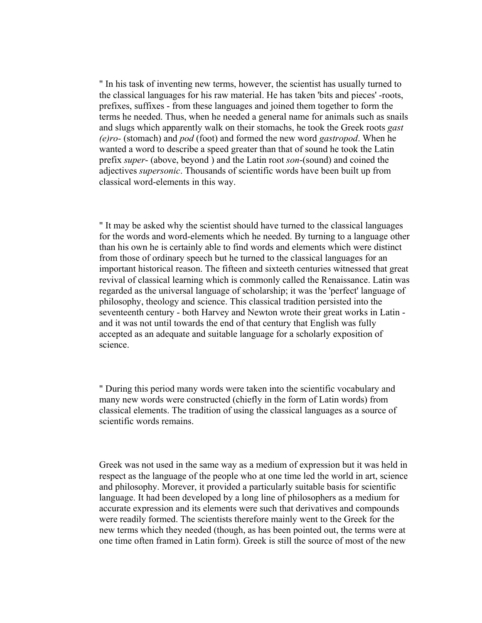" In his task of inventing new terms, however, the scientist has usually turned to the classical languages for his raw material. He has taken 'bits and pieces' -roots, prefixes, suffixes - from these languages and joined them together to form the terms he needed. Thus, when he needed a general name for animals such as snails and slugs which apparently walk on their stomachs, he took the Greek roots *gast (e)ro-* (stomach) and *pod* (foot) and formed the new word *gastropod*. When he wanted a word to describe a speed greater than that of sound he took the Latin prefix *super*- (above, beyond ) and the Latin root *son*-(sound) and coined the adjectives *supersonic*. Thousands of scientific words have been built up from classical word-elements in this way.

" It may be asked why the scientist should have turned to the classical languages for the words and word-elements which he needed. By turning to a language other than his own he is certainly able to find words and elements which were distinct from those of ordinary speech but he turned to the classical languages for an important historical reason. The fifteen and sixteeth centuries witnessed that great revival of classical learning which is commonly called the Renaissance. Latin was regarded as the universal language of scholarship; it was the 'perfect' language of philosophy, theology and science. This classical tradition persisted into the seventeenth century - both Harvey and Newton wrote their great works in Latin and it was not until towards the end of that century that English was fully accepted as an adequate and suitable language for a scholarly exposition of science.

" During this period many words were taken into the scientific vocabulary and many new words were constructed (chiefly in the form of Latin words) from classical elements. The tradition of using the classical languages as a source of scientific words remains.

Greek was not used in the same way as a medium of expression but it was held in respect as the language of the people who at one time led the world in art, science and philosophy. Morever, it provided a particularly suitable basis for scientific language. It had been developed by a long line of philosophers as a medium for accurate expression and its elements were such that derivatives and compounds were readily formed. The scientists therefore mainly went to the Greek for the new terms which they needed (though, as has been pointed out, the terms were at one time often framed in Latin form). Greek is still the source of most of the new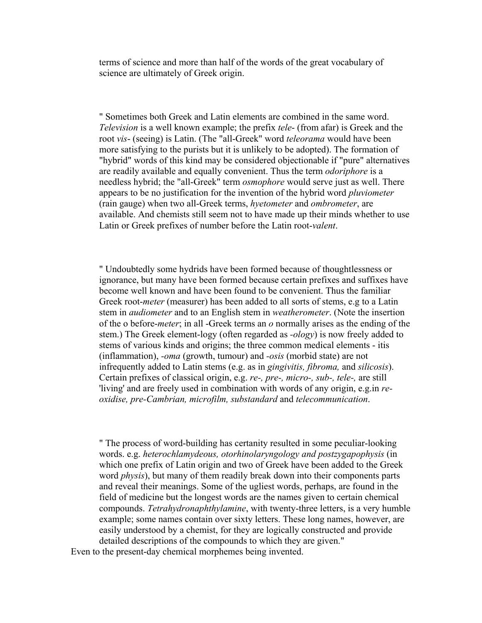terms of science and more than half of the words of the great vocabulary of science are ultimately of Greek origin.

" Sometimes both Greek and Latin elements are combined in the same word. *Television* is a well known example; the prefix *tele*- (from afar) is Greek and the root *vis*- (seeing) is Latin. (The "all-Greek" word *teleorama* would have been more satisfying to the purists but it is unlikely to be adopted). The formation of "hybrid" words of this kind may be considered objectionable if "pure" alternatives are readily available and equally convenient. Thus the term *odoriphore* is a needless hybrid; the "all-Greek" term *osmophore* would serve just as well. There appears to be no justification for the invention of the hybrid word *pluviometer* (rain gauge) when two all-Greek terms, *hyetometer* and *ombrometer*, are available. And chemists still seem not to have made up their minds whether to use Latin or Greek prefixes of number before the Latin root-*valent*.

" Undoubtedly some hydrids have been formed because of thoughtlessness or ignorance, but many have been formed because certain prefixes and suffixes have become well known and have been found to be convenient. Thus the familiar Greek root-*meter* (measurer) has been added to all sorts of stems, e.g to a Latin stem in *audiometer* and to an English stem in *weatherometer*. (Note the insertion of the o before-*meter*; in all -Greek terms an *o* normally arises as the ending of the stem.) The Greek element-logy (often regarded as *-ology*) is now freely added to stems of various kinds and origins; the three common medical elements - itis (inflammation), *-oma* (growth, tumour) and *-osis* (morbid state) are not infrequently added to Latin stems (e.g. as in *gingivitis, fibroma,* and *silicosis*). Certain prefixes of classical origin, e.g. *re-, pre-, micro-, sub-, tele-,* are still 'living' and are freely used in combination with words of any origin, e.g.in *reoxidise, pre-Cambrian, microfilm, substandard* and *telecommunication*.

" The process of word-building has certanity resulted in some peculiar-looking words. e.g. *heterochlamydeous, otorhinolaryngology and postzygapophysis* (in which one prefix of Latin origin and two of Greek have been added to the Greek word *physis*), but many of them readily break down into their components parts and reveal their meanings. Some of the ugliest words, perhaps, are found in the field of medicine but the longest words are the names given to certain chemical compounds. *Tetrahydronaphthylamine*, with twenty-three letters, is a very humble example; some names contain over sixty letters. These long names, however, are easily understood by a chemist, for they are logically constructed and provide detailed descriptions of the compounds to which they are given."

Even to the present-day chemical morphemes being invented.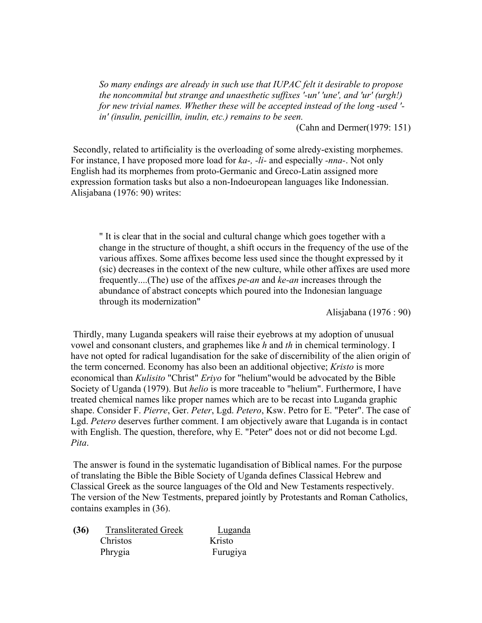*So many endings are already in such use that IUPAC felt it desirable to propose the noncommital but strange and unaesthetic suffixes '-un' 'une', and 'ur' (urgh!) for new trivial names. Whether these will be accepted instead of the long -used ' in' (insulin, penicillin, inulin, etc.) remains to be seen.*

(Cahn and Dermer(1979: 151)

 Secondly, related to artificiality is the overloading of some alredy-existing morphemes. For instance, I have proposed more load for *ka-, -li-* and especially *-nna-*. Not only English had its morphemes from proto-Germanic and Greco-Latin assigned more expression formation tasks but also a non-Indoeuropean languages like Indonessian. Alisjabana (1976: 90) writes:

" It is clear that in the social and cultural change which goes together with a change in the structure of thought, a shift occurs in the frequency of the use of the various affixes. Some affixes become less used since the thought expressed by it (sic) decreases in the context of the new culture, while other affixes are used more frequently....(The) use of the affixes *pe-an* and *ke-an* increases through the abundance of abstract concepts which poured into the Indonesian language through its modernization"

Alisjabana (1976 : 90)

 Thirdly, many Luganda speakers will raise their eyebrows at my adoption of unusual vowel and consonant clusters, and graphemes like *h* and *th* in chemical terminology. I have not opted for radical lugandisation for the sake of discernibility of the alien origin of the term concerned. Economy has also been an additional objective; *Kristo* is more economical than *Kulisito* "Christ" *Eriyo* for "helium"would be advocated by the Bible Society of Uganda (1979). But *helio* is more traceable to "helium". Furthermore, I have treated chemical names like proper names which are to be recast into Luganda graphic shape. Consider F. *Pierre*, Ger. *Peter*, Lgd. *Petero*, Ksw. Petro for E. "Peter". The case of Lgd. *Petero* deserves further comment. I am objectively aware that Luganda is in contact with English. The question, therefore, why E. "Peter" does not or did not become Lgd. *Pita*.

 The answer is found in the systematic lugandisation of Biblical names. For the purpose of translating the Bible the Bible Society of Uganda defines Classical Hebrew and Classical Greek as the source languages of the Old and New Testaments respectively. The version of the New Testments, prepared jointly by Protestants and Roman Catholics, contains examples in (36).

| (36) | <b>Transliterated Greek</b> | Luganda  |
|------|-----------------------------|----------|
|      | Christos                    | Kristo   |
|      | Phrygia                     | Furugiya |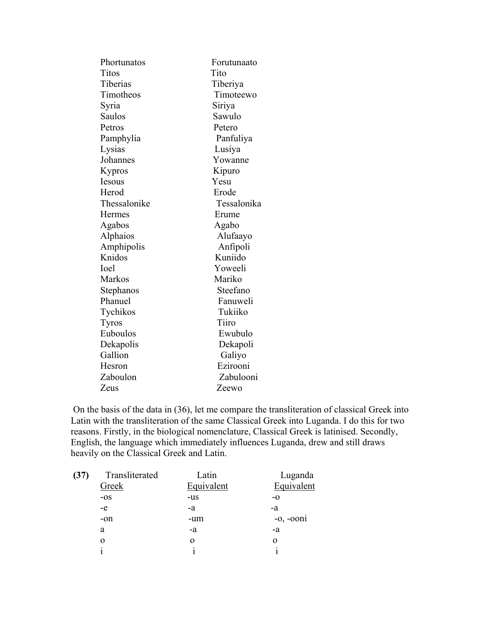| Phortunatos   | Forutunaato |
|---------------|-------------|
| <b>Titos</b>  | Tito        |
| Tiberias      | Tiberiya    |
| Timotheos     | Timoteewo   |
| Syria         | Siriya      |
| Saulos        | Sawulo      |
| Petros        | Petero      |
| Pamphylia     | Panfuliya   |
| Lysias        | Lusiya      |
| Johannes      | Yowanne     |
| Kypros        | Kipuro      |
| <b>Iesous</b> | Yesu        |
| Herod         | Erode       |
| Thessalonike  | Tessalonika |
| Hermes        | Erume       |
| Agabos        | Agabo       |
| Alphaios      | Alufaayo    |
| Amphipolis    | Anfipoli    |
| Knidos        | Kuniido     |
| Ioel          | Yoweeli     |
| <b>Markos</b> | Mariko      |
| Stephanos     | Steefano    |
| Phanuel       | Fanuweli    |
| Tychikos      | Tukiiko     |
| Tyros         | Tiiro       |
| Euboulos      | Ewubulo     |
| Dekapolis     | Dekapoli    |
| Gallion       | Galiyo      |
| Hesron        | Ezirooni    |
| Zaboulon      | Zabulooni   |
| Zeus          | Zeewo       |

 On the basis of the data in (36), let me compare the transliteration of classical Greek into Latin with the transliteration of the same Classical Greek into Luganda. I do this for two reasons. Firstly, in the biological nomenclature, Classical Greek is latinised. Secondly, English, the language which immediately influences Luganda, drew and still draws heavily on the Classical Greek and Latin.

| (37) | Transliterated | Latin      | Luganda     |
|------|----------------|------------|-------------|
|      | Greek          | Equivalent | Equivalent  |
|      | $-OS$          | -us        | $-0$        |
|      | $-e$           | -a         | -a          |
|      | $-on$          | -um        | $-0, -0011$ |
|      | a              | -a         | -a          |
|      | $\Omega$       | $\Omega$   | 0           |
|      | 1              |            |             |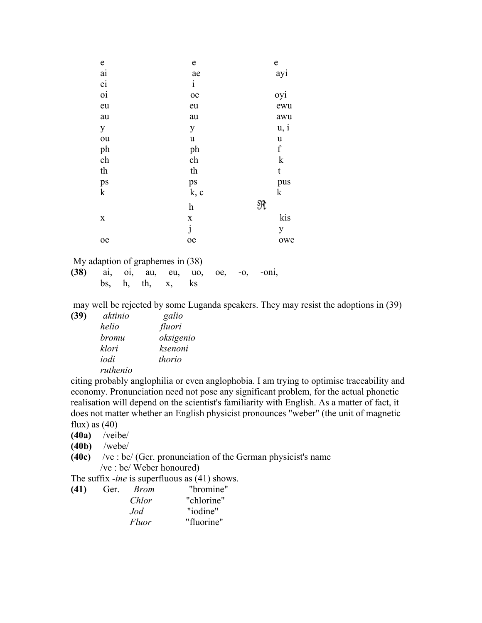| e               | ${\bf e}$    | ${\bf e}$        |
|-----------------|--------------|------------------|
| ai              | ae           | ayi              |
| ei              | $\mathbf{i}$ |                  |
| $\overline{0i}$ | oe           | oyi              |
| eu              | eu           | ewu              |
| au              | au           | awu              |
| y               | y            | u, i             |
| ou              | $\mathbf u$  | $\mathbf u$      |
| ph              | ph           | $\boldsymbol{f}$ |
| ch              | ch           | $\mathbf k$      |
| th              | th           | t                |
| ps              | ps           | pus              |
| $\mathbf k$     | k, c         | $\mathbf k$      |
|                 | h            | R                |
| X               | $\mathbf X$  | kis              |
|                 | j            | y                |
| oe              | oe           | owe              |

My adaption of graphemes in (38)

**(38)** ai, oi, au, eu, uo, oe, -o, -oni, bs, h, th,  $x$ , ks

may well be rejected by some Luganda speakers. They may resist the adoptions in (39)

**(39)** *aktinio galio*

*helio fluori bromu oksigenio klori ksenoni iodi thorio ruthenio*

citing probably anglophilia or even anglophobia. I am trying to optimise traceability and economy. Pronunciation need not pose any significant problem, for the actual phonetic realisation will depend on the scientist's familiarity with English. As a matter of fact, it does not matter whether an English physicist pronounces "weber" (the unit of magnetic flux) as  $(40)$ 

**(40a)** /veibe/

**(40b)** /webe/

**(40c)** /ve : be/ (Ger. pronunciation of the German physicist's name /ve : be/ Weber honoured)

The suffix *-ine* is superfluous as (41) shows.

| (41) | Ger. | <b>Brom</b> | "bromine"  |
|------|------|-------------|------------|
|      |      | Chlor       | "chlorine" |
|      |      | Jod.        | "iodine"   |
|      |      | Fluor       | "fluorine" |